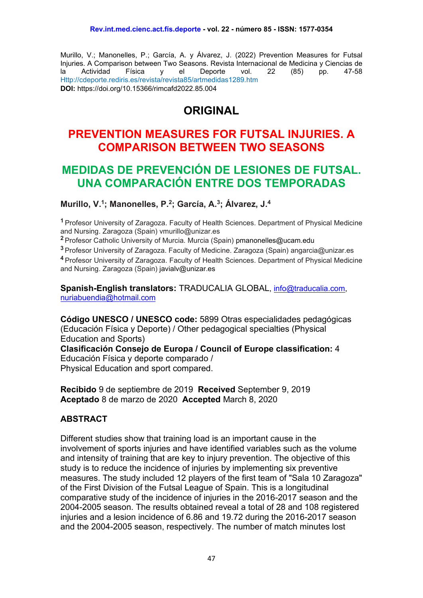Murillo, V.; Manonelles, P.; García, A. y Álvarez, J. (2022) Prevention Measures for Futsal Injuries. A Comparison between Two Seasons. Revista Internacional de Medicina y Ciencias de la Actividad Física y el Deporte vol. 22 (85) pp. 47-58 Http://cdeporte.rediris.es/revista/revista85/artmedidas1289.htm **DOI:** https://doi.org/10.15366/rimcafd2022.85.004

# **ORIGINAL**

## **PREVENTION MEASURES FOR FUTSAL INJURIES. A COMPARISON BETWEEN TWO SEASONS**

# **MEDIDAS DE PREVENCIÓN DE LESIONES DE FUTSAL. UNA COMPARACIÓN ENTRE DOS TEMPORADAS**

**Murillo, V. 1; Manonelles, P. 2; García, A. 3; Álvarez, J. 4**

**<sup>1</sup>** Profesor University of Zaragoza. Faculty of Health Sciences. Department of Physical Medicine and Nursing. Zaragoza (Spain) vmurillo@unizar.es

**<sup>2</sup>** Profesor Catholic University of Murcia. Murcia (Spain) pmanonelles@ucam.edu

**<sup>3</sup>** Profesor University of Zaragoza. Faculty of Medicine. Zaragoza (Spain) angarcia@unizar.es **<sup>4</sup>** Profesor University of Zaragoza. Faculty of Health Sciences. Department of Physical Medicine and Nursing. Zaragoza (Spain) javialv@unizar.es

**Spanish-English translators:** TRADUCALIA GLOBAL, [info@traducalia.com,](mailto:info@traducalia.com) [nuriabuendia@hotmail.com](mailto:nuriabuendia@hotmail.com)

**Código UNESCO / UNESCO code:** 5899 Otras especialidades pedagógicas (Educación Física y Deporte) / Other pedagogical specialties (Physical Education and Sports)

**Clasificación Consejo de Europa / Council of Europe classification:** 4 Educación Física y deporte comparado / Physical Education and sport compared.

**Recibido** 9 de septiembre de 2019 **Received** September 9, 2019 **Aceptado** 8 de marzo de 2020 **Accepted** March 8, 2020

### **ABSTRACT**

Different studies show that training load is an important cause in the involvement of sports injuries and have identified variables such as the volume and intensity of training that are key to injury prevention. The objective of this study is to reduce the incidence of injuries by implementing six preventive measures. The study included 12 players of the first team of "Sala 10 Zaragoza" of the First Division of the Futsal League of Spain. This is a longitudinal comparative study of the incidence of injuries in the 2016-2017 season and the 2004-2005 season. The results obtained reveal a total of 28 and 108 registered injuries and a lesion incidence of 6.86 and 19.72 during the 2016-2017 season and the 2004-2005 season, respectively. The number of match minutes lost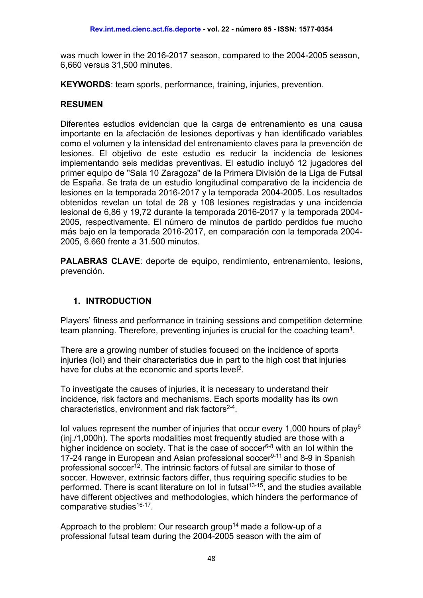was much lower in the 2016-2017 season, compared to the 2004-2005 season, 6,660 versus 31,500 minutes.

**KEYWORDS**: team sports, performance, training, injuries, prevention.

#### **RESUMEN**

Diferentes estudios evidencian que la carga de entrenamiento es una causa importante en la afectación de lesiones deportivas y han identificado variables como el volumen y la intensidad del entrenamiento claves para la prevención de lesiones. El objetivo de este estudio es reducir la incidencia de lesiones implementando seis medidas preventivas. El estudio incluyó 12 jugadores del primer equipo de "Sala 10 Zaragoza" de la Primera División de la Liga de Futsal de España. Se trata de un estudio longitudinal comparativo de la incidencia de lesiones en la temporada 2016-2017 y la temporada 2004-2005. Los resultados obtenidos revelan un total de 28 y 108 lesiones registradas y una incidencia lesional de 6,86 y 19,72 durante la temporada 2016-2017 y la temporada 2004- 2005, respectivamente. El número de minutos de partido perdidos fue mucho más bajo en la temporada 2016-2017, en comparación con la temporada 2004- 2005, 6.660 frente a 31.500 minutos.

**PALABRAS CLAVE**: deporte de equipo, rendimiento, entrenamiento, lesions, prevención.

### **1. INTRODUCTION**

Players' fitness and performance in training sessions and competition determine team planning. Therefore, preventing injuries is crucial for the coaching team<sup>1</sup>.

There are a growing number of studies focused on the incidence of sports injuries (IoI) and their characteristics due in part to the high cost that injuries have for clubs at the economic and sports level<sup>2</sup>.

To investigate the causes of injuries, it is necessary to understand their incidence, risk factors and mechanisms. Each sports modality has its own characteristics, environment and risk factors $2-4$ .

IoI values represent the number of injuries that occur every 1,000 hours of play<sup>5</sup> (inj./1,000h). The sports modalities most frequently studied are those with a higher incidence on society. That is the case of soccer<sup>6-8</sup> with an IoI within the 17-24 range in European and Asian professional soccer<sup>9-11</sup> and 8-9 in Spanish professional soccer<sup>12</sup>. The intrinsic factors of futsal are similar to those of soccer. However, extrinsic factors differ, thus requiring specific studies to be performed. There is scant literature on IoI in futsal<sup>13-15</sup>, and the studies available have different objectives and methodologies, which hinders the performance of comparative studies<sup>16-17</sup>.

Approach to the problem: Our research group<sup>14</sup> made a follow-up of a professional futsal team during the 2004-2005 season with the aim of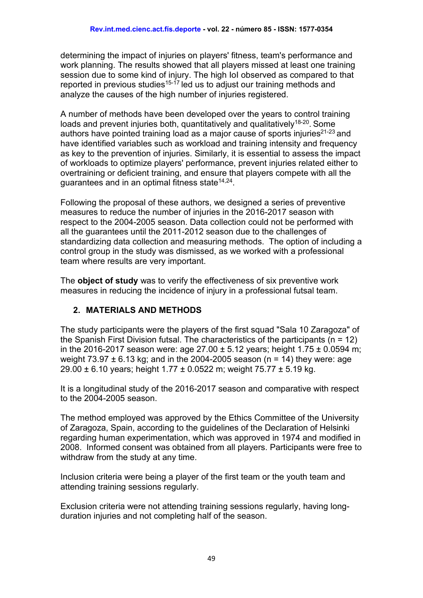determining the impact of injuries on players' fitness, team's performance and work planning. The results showed that all players missed at least one training session due to some kind of injury. The high IoI observed as compared to that reported in previous studies<sup>15-17</sup> led us to adjust our training methods and analyze the causes of the high number of injuries registered.

A number of methods have been developed over the years to control training loads and prevent injuries both, quantitatively and qualitatively<sup>18-20</sup>. Some authors have pointed training load as a major cause of sports injuries $21-23$  and have identified variables such as workload and training intensity and frequency as key to the prevention of injuries. Similarly, it is essential to assess the impact of workloads to optimize players' performance, prevent injuries related either to overtraining or deficient training, and ensure that players compete with all the quarantees and in an optimal fitness state  $14,24$ .

Following the proposal of these authors, we designed a series of preventive measures to reduce the number of injuries in the 2016-2017 season with respect to the 2004-2005 season. Data collection could not be performed with all the guarantees until the 2011-2012 season due to the challenges of standardizing data collection and measuring methods. The option of including a control group in the study was dismissed, as we worked with a professional team where results are very important.

The **object of study** was to verify the effectiveness of six preventive work measures in reducing the incidence of injury in a professional futsal team.

## **2. MATERIALS AND METHODS**

The study participants were the players of the first squad "Sala 10 Zaragoza" of the Spanish First Division futsal. The characteristics of the participants ( $n = 12$ ) in the 2016-2017 season were: age 27.00  $\pm$  5.12 years; height 1.75  $\pm$  0.0594 m; weight  $73.97 \pm 6.13$  kg; and in the 2004-2005 season (n = 14) they were: age 29.00 ± 6.10 years; height 1.77 ± 0.0522 m; weight 75.77 ± 5.19 kg.

It is a longitudinal study of the 2016-2017 season and comparative with respect to the 2004-2005 season.

The method employed was approved by the Ethics Committee of the University of Zaragoza, Spain, according to the guidelines of the Declaration of Helsinki regarding human experimentation, which was approved in 1974 and modified in 2008. Informed consent was obtained from all players. Participants were free to withdraw from the study at any time.

Inclusion criteria were being a player of the first team or the youth team and attending training sessions regularly.

Exclusion criteria were not attending training sessions regularly, having longduration injuries and not completing half of the season.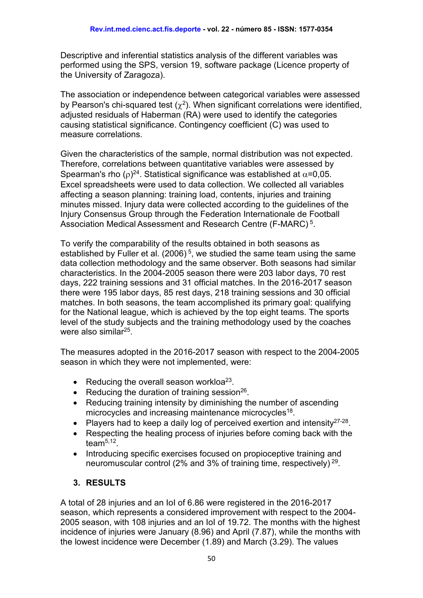Descriptive and inferential statistics analysis of the different variables was performed using the SPS, version 19, software package (Licence property of the University of Zaragoza).

The association or independence between categorical variables were assessed by Pearson's chi-squared test  $(\chi^2)$ . When significant correlations were identified, adjusted residuals of Haberman (RA) were used to identify the categories causing statistical significance. Contingency coefficient (C) was used to measure correlations.

Given the characteristics of the sample, normal distribution was not expected. Therefore, correlations between quantitative variables were assessed by Spearman's rho ( $\rho$ )<sup>24</sup>. Statistical significance was established at  $\alpha$ =0,05. Excel spreadsheets were used to data collection. We collected all variables affecting a season planning: training load, contents, injuries and training minutes missed. Injury data were collected according to the guidelines of the Injury Consensus Group through the Federation Internationale de Football Association Medical Assessment and Research Centre (F-MARC) 5.

To verify the comparability of the results obtained in both seasons as established by Fuller et al.  $(2006)^5$ , we studied the same team using the same data collection methodology and the same observer. Both seasons had similar characteristics. In the 2004-2005 season there were 203 labor days, 70 rest days, 222 training sessions and 31 official matches. In the 2016-2017 season there were 195 labor days, 85 rest days, 218 training sessions and 30 official matches. In both seasons, the team accomplished its primary goal: qualifying for the National league, which is achieved by the top eight teams. The sports level of the study subjects and the training methodology used by the coaches were also similar<sup>25</sup>.

The measures adopted in the 2016-2017 season with respect to the 2004-2005 season in which they were not implemented, were:

- Reducing the overall season workloa<sup>23</sup>.
- Reducing the duration of training session<sup>26</sup>.
- Reducing training intensity by diminishing the number of ascending microcycles and increasing maintenance microcycles<sup>18</sup>.
- Players had to keep a daily log of perceived exertion and intensity $27-28$ .
- Respecting the healing process of injuries before coming back with the team $5,12$
- Introducing specific exercises focused on propioceptive training and neuromuscular control (2% and 3% of training time, respectively) 29.

## **3. RESULTS**

A total of 28 injuries and an IoI of 6.86 were registered in the 2016-2017 season, which represents a considered improvement with respect to the 2004- 2005 season, with 108 injuries and an IoI of 19.72. The months with the highest incidence of injuries were January (8.96) and April (7.87), while the months with the lowest incidence were December (1.89) and March (3.29). The values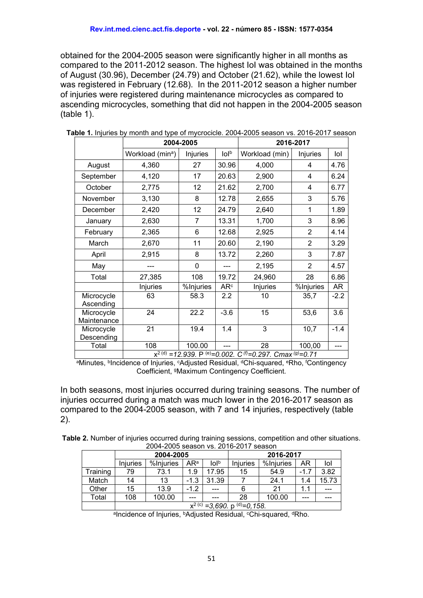obtained for the 2004-2005 season were significantly higher in all months as compared to the 2011-2012 season. The highest IoI was obtained in the months of August (30.96), December (24.79) and October (21.62), while the lowest IoI was registered in February (12.68). In the 2011-2012 season a higher number of injuries were registered during maintenance microcycles as compared to ascending microcycles, something that did not happen in the 2004-2005 season (table 1).

|                           |                                                                                                   | 2004-2005 | 2016-2017            |                |                |        |  |
|---------------------------|---------------------------------------------------------------------------------------------------|-----------|----------------------|----------------|----------------|--------|--|
|                           | Workload (min <sup>a</sup> )                                                                      | Injuries  | $I$ ol $\mathfrak b$ | Workload (min) | Injuries       | lol    |  |
| August                    | 4,360                                                                                             | 27        | 30.96                | 4,000          | 4              | 4.76   |  |
| September                 | 4,120                                                                                             | 17        | 20.63                | 2,900          | 4              | 6.24   |  |
| October                   | 2,775                                                                                             | 12        | 21.62                | 2,700          | 4              | 6.77   |  |
| November                  | 3,130                                                                                             | 8         | 12.78                | 2,655          | 3              | 5.76   |  |
| December                  | 2,420                                                                                             | 12        | 24.79                | 2,640          | 1              | 1.89   |  |
| January                   | 2,630                                                                                             | 7         | 13.31                | 1,700          | 3              | 8.96   |  |
| February                  | 2,365                                                                                             | 6         | 12.68                | 2,925          | $\overline{2}$ | 4.14   |  |
| March                     | 2,670                                                                                             | 11        | 20.60                | 2,190          | $\overline{2}$ | 3.29   |  |
| April                     | 2,915                                                                                             | 8         | 13.72                | 2,260          | 3              | 7.87   |  |
| May                       |                                                                                                   | 0         |                      | 2,195          | $\overline{2}$ | 4.57   |  |
| Total                     | 27,385                                                                                            | 108       | 19.72                | 24,960         | 28             | 6.86   |  |
|                           | Injuries                                                                                          | %Injuries | AR <sup>c</sup>      | Injuries       | %Injuries      | AR     |  |
| Microcycle<br>Ascending   | 63                                                                                                | 58.3      | 2.2                  | 10             | 35,7           | $-2.2$ |  |
| Microcycle<br>Maintenance | $\overline{24}$                                                                                   | 22.2      | $-3.6$               | 15             | 53,6           | 3.6    |  |
| Microcycle<br>Descending  | 21                                                                                                | 19.4      | 1.4                  | 3              | 10,7           | $-1.4$ |  |
| Total                     | 108                                                                                               | 100.00    | ---                  | 28             | 100,00         | ---    |  |
|                           | $x^{2(d)} = 12.939$ . P <sup>(e)</sup> =0.002. C <sup>(f)</sup> =0.297. Cmax <sup>(g)</sup> =0.71 |           |                      |                |                |        |  |

**Table 1.** Injuries by month and type of mycrocicle. 2004-2005 season vs. 2016-2017 season

<sup>a</sup>Minutes, <sup>b</sup>Incidence of Injuries, <sup>c</sup>Adjusted Residual, <sup>d</sup>Chi-squared, <sup>e</sup>Rho, <sup>f</sup>Contingency Coefficient, gMaximum Contingency Coefficient.

In both seasons, most injuries occurred during training seasons. The number of injuries occurred during a match was much lower in the 2016-2017 season as compared to the 2004-2005 season, with 7 and 14 injuries, respectively (table 2).

| Table 2. Number of injuries occurred during training sessions, competition and other situations. |  |  |  |  |  |  |
|--------------------------------------------------------------------------------------------------|--|--|--|--|--|--|
| 2004-2005 season vs. 2016-2017 season                                                            |  |  |  |  |  |  |

|          | 2004-2005                                      |           |        |       | 2016-2017 |           |        |       |  |
|----------|------------------------------------------------|-----------|--------|-------|-----------|-----------|--------|-------|--|
|          | <b>Injuries</b>                                | %Injuries | ARª    | lolb  | Iniuries  | %Injuries | ΑR     | lol   |  |
| Training | 79                                             | 73.1      | 1.9    | 17.95 | 15        | 54.9      | $-1.7$ | 3.82  |  |
| Match    | 14                                             | 13        | $-1.3$ | 31.39 |           | 24.1      | 1.4    | 15.73 |  |
| Other    | 15                                             | 13.9      | $-1.2$ | ---   | 6         | 21        | 1.1    | ---   |  |
| Total    | 108                                            | 100.00    | ---    |       | 28        | 100.00    | ---    | ---   |  |
|          | $x^{2 (c)} = 3,690$ . p <sup>(d)</sup> =0,158. |           |        |       |           |           |        |       |  |

aIncidence of Injuries, <sup>b</sup>Adjusted Residual, <sup>c</sup>Chi-squared, <sup>d</sup>Rho.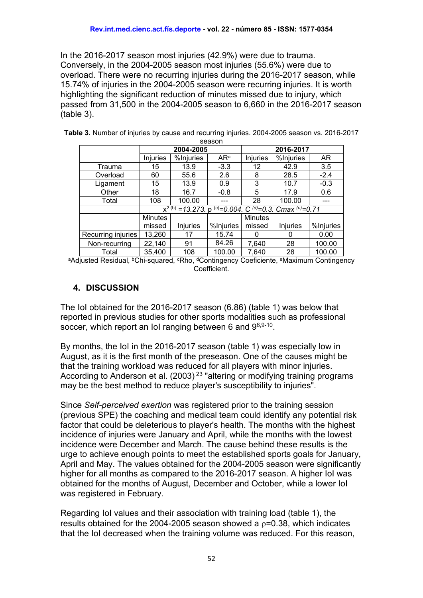In the 2016-2017 season most injuries (42.9%) were due to trauma. Conversely, in the 2004-2005 season most injuries (55.6%) were due to overload. There were no recurring injuries during the 2016-2017 season, while 15.74% of injuries in the 2004-2005 season were recurring injuries. It is worth highlighting the significant reduction of minutes missed due to injury, which passed from 31,500 in the 2004-2005 season to 6,660 in the 2016-2017 season (table 3).

| -----              |                                                                                                  |           |                 |                |                 |           |  |  |
|--------------------|--------------------------------------------------------------------------------------------------|-----------|-----------------|----------------|-----------------|-----------|--|--|
|                    | 2004-2005                                                                                        |           |                 | 2016-2017      |                 |           |  |  |
|                    | <b>Injuries</b>                                                                                  | %Injuries | AR <sup>a</sup> | Injuries       | %Injuries       | AR.       |  |  |
| Trauma             | 15                                                                                               | 13.9      | $-3.3$          | 12             | 42.9            | 3.5       |  |  |
| Overload           | 60                                                                                               | 55.6      | 2.6             | 8              | 28.5            | $-2.4$    |  |  |
| Ligament           | 15                                                                                               | 13.9      | 0.9             | 3              | 10.7            | $-0.3$    |  |  |
| Other              | 18                                                                                               | 16.7      | $-0.8$          | 5              | 17.9            | 0.6       |  |  |
| Total              | 108                                                                                              | 100.00    |                 | 28             | 100.00          | ---       |  |  |
|                    | $x^{2 (b)} = 13.273$ . p <sup>(c)</sup> =0.004. C <sup>(d)</sup> =0.3. Cmax <sup>(e)</sup> =0.71 |           |                 |                |                 |           |  |  |
|                    | <b>Minutes</b>                                                                                   |           |                 | <b>Minutes</b> |                 |           |  |  |
|                    | missed                                                                                           | Injuries  | %Injuries       | missed         | <b>Injuries</b> | %Injuries |  |  |
| Recurring injuries | 13,260                                                                                           | 17        | 15.74           | O              | $\Omega$        | 0.00      |  |  |
| Non-recurring      | 22,140                                                                                           | 91        | 84.26           | 7,640          | 28              | 100.00    |  |  |
| Total              | 35,400                                                                                           | 108       | 100.00          | 7,640          | 28              | 100.00    |  |  |

**Table 3.** Number of injuries by cause and recurring injuries. 2004-2005 season vs. 2016-2017 season

aAdjusted Residual, <sup>b</sup>Chi-squared, <sup>c</sup>Rho, <sup>d</sup>Contingency Coeficiente, <sup>e</sup>Maximum Contingency Coefficient.

### **4. DISCUSSION**

The IoI obtained for the 2016-2017 season (6.86) (table 1) was below that reported in previous studies for other sports modalities such as professional soccer, which report an IoI ranging between 6 and  $9^{6,9-10}$ .

By months, the IoI in the 2016-2017 season (table 1) was especially low in August, as it is the first month of the preseason. One of the causes might be that the training workload was reduced for all players with minor injuries. According to Anderson et al.  $(2003)^{23}$  "altering or modifying training programs may be the best method to reduce player's susceptibility to injuries".

Since *Self-perceived exertion* was registered prior to the training session (previous SPE) the coaching and medical team could identify any potential risk factor that could be deleterious to player's health. The months with the highest incidence of injuries were January and April, while the months with the lowest incidence were December and March. The cause behind these results is the urge to achieve enough points to meet the established sports goals for January, April and May. The values obtained for the 2004-2005 season were significantly higher for all months as compared to the 2016-2017 season. A higher IoI was obtained for the months of August, December and October, while a lower IoI was registered in February.

Regarding IoI values and their association with training load (table 1), the results obtained for the 2004-2005 season showed a  $p=0.38$ , which indicates that the IoI decreased when the training volume was reduced. For this reason,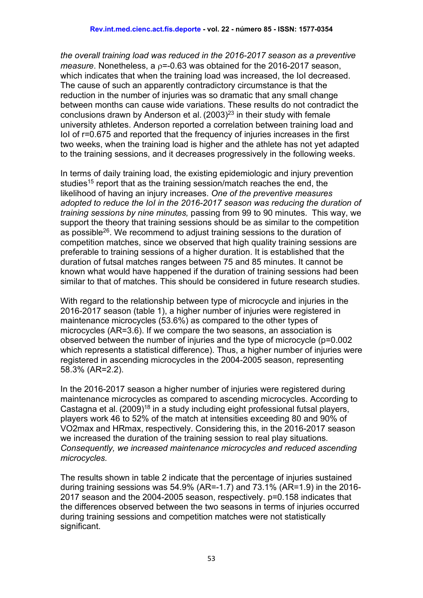*the overall training load was reduced in the 2016-2017 season as a preventive measure*. Nonetheless, a ρ=-0.63 was obtained for the 2016-2017 season, which indicates that when the training load was increased, the IoI decreased. The cause of such an apparently contradictory circumstance is that the reduction in the number of injuries was so dramatic that any small change between months can cause wide variations. These results do not contradict the conclusions drawn by Anderson et al.  $(2003)^{23}$  in their study with female university athletes. Anderson reported a correlation between training load and IoI of r=0.675 and reported that the frequency of injuries increases in the first two weeks, when the training load is higher and the athlete has not yet adapted to the training sessions, and it decreases progressively in the following weeks.

In terms of daily training load, the existing epidemiologic and injury prevention studies<sup>15</sup> report that as the training session/match reaches the end, the likelihood of having an injury increases. *One of the preventive measures adopted to reduce the IoI in the 2016-2017 season was reducing the duration of training sessions by nine minutes,* passing from 99 to 90 minutes. This way, we support the theory that training sessions should be as similar to the competition as possible<sup>26</sup>. We recommend to adjust training sessions to the duration of competition matches, since we observed that high quality training sessions are preferable to training sessions of a higher duration. It is established that the duration of futsal matches ranges between 75 and 85 minutes. It cannot be known what would have happened if the duration of training sessions had been similar to that of matches. This should be considered in future research studies.

With regard to the relationship between type of microcycle and injuries in the 2016-2017 season (table 1), a higher number of injuries were registered in maintenance microcycles (53.6%) as compared to the other types of microcycles (AR=3.6). If we compare the two seasons, an association is observed between the number of injuries and the type of microcycle (p=0.002 which represents a statistical difference). Thus, a higher number of injuries were registered in ascending microcycles in the 2004-2005 season, representing 58.3% (AR=2.2).

In the 2016-2017 season a higher number of injuries were registered during maintenance microcycles as compared to ascending microcycles. According to Castagna et al.  $(2009)^{18}$  in a study including eight professional futsal players, players work 46 to 52% of the match at intensities exceeding 80 and 90% of VO2max and HRmax, respectively. Considering this, in the 2016-2017 season we increased the duration of the training session to real play situations*. Consequently, we increased maintenance microcycles and reduced ascending microcycles.*

The results shown in table 2 indicate that the percentage of injuries sustained during training sessions was 54.9% (AR=-1.7) and  $73.1\%$  (AR=1.9) in the 2016-2017 season and the 2004-2005 season, respectively. p=0.158 indicates that the differences observed between the two seasons in terms of injuries occurred during training sessions and competition matches were not statistically significant.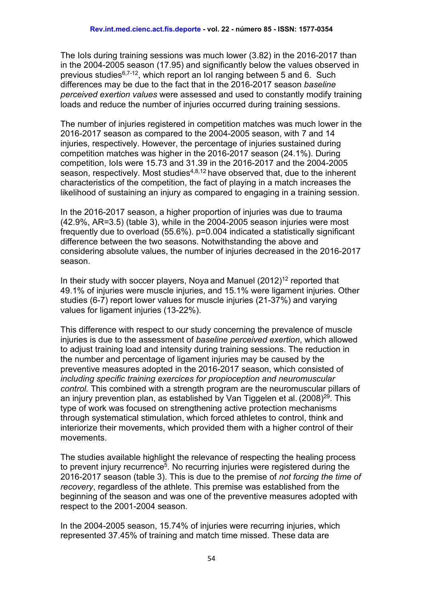The IoIs during training sessions was much lower (3.82) in the 2016-2017 than in the 2004-2005 season (17.95) and significantly below the values observed in previous studies6,7-12, which report an IoI ranging between 5 and 6. Such differences may be due to the fact that in the 2016-2017 season *baseline perceived exertion values* were assessed and used to constantly modify training loads and reduce the number of injuries occurred during training sessions.

The number of injuries registered in competition matches was much lower in the 2016-2017 season as compared to the 2004-2005 season, with 7 and 14 injuries, respectively. However, the percentage of injuries sustained during competition matches was higher in the 2016-2017 season (24.1%). During competition, IoIs were 15.73 and 31.39 in the 2016-2017 and the 2004-2005 season, respectively. Most studies<sup>4,8,12</sup> have observed that, due to the inherent characteristics of the competition, the fact of playing in a match increases the likelihood of sustaining an injury as compared to engaging in a training session.

In the 2016-2017 season, a higher proportion of injuries was due to trauma (42.9%, AR=3.5) (table 3), while in the 2004-2005 season injuries were most frequently due to overload (55.6%). p=0.004 indicated a statistically significant difference between the two seasons. Notwithstanding the above and considering absolute values, the number of injuries decreased in the 2016-2017 season.

In their study with soccer players, Nova and Manuel  $(2012)^{12}$  reported that 49.1% of injuries were muscle injuries, and 15.1% were ligament injuries. Other studies (6-7) report lower values for muscle injuries (21-37%) and varying values for ligament injuries (13-22%).

This difference with respect to our study concerning the prevalence of muscle injuries is due to the assessment of *baseline perceived exertion*, which allowed to adjust training load and intensity during training sessions. The reduction in the number and percentage of ligament injuries may be caused by the preventive measures adopted in the 2016-2017 season, which consisted of *including specific training exercices for propioception and neuromuscular control.* This combined with a strength program are the neuromuscular pillars of an injury prevention plan, as established by Van Tiggelen et al.  $(2008)^{29}$ . This type of work was focused on strengthening active protection mechanisms through systematical stimulation, which forced athletes to control, think and interiorize their movements, which provided them with a higher control of their movements.

The studies available highlight the relevance of respecting the healing process to prevent injury recurrence<sup>5</sup>. No recurring injuries were registered during the 2016-2017 season (table 3). This is due to the premise of *not forcing the time of recovery*, regardless of the athlete. This premise was established from the beginning of the season and was one of the preventive measures adopted with respect to the 2001-2004 season.

In the 2004-2005 season, 15.74% of injuries were recurring injuries, which represented 37.45% of training and match time missed. These data are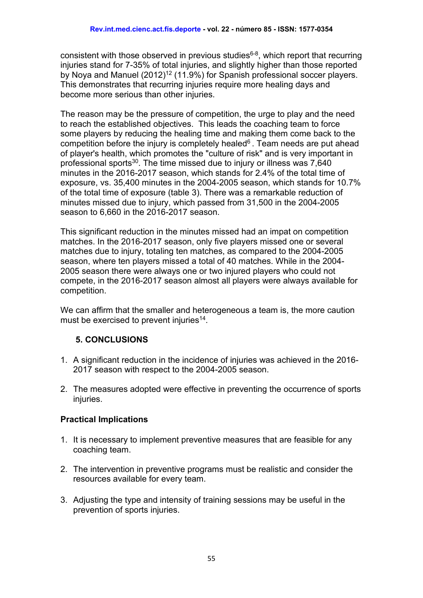consistent with those observed in previous studies $6-8$ , which report that recurring injuries stand for 7-35% of total injuries, and slightly higher than those reported by Nova and Manuel (2012)<sup>12</sup> (11.9%) for Spanish professional soccer players. This demonstrates that recurring injuries require more healing days and become more serious than other injuries.

The reason may be the pressure of competition, the urge to play and the need to reach the established objectives. This leads the coaching team to force some players by reducing the healing time and making them come back to the competition before the injury is completely healed $6$ . Team needs are put ahead of player's health, which promotes the "culture of risk" and is very important in professional sports<sup>30</sup>. The time missed due to injury or illness was 7,640 minutes in the 2016-2017 season, which stands for 2.4% of the total time of exposure, vs. 35,400 minutes in the 2004-2005 season, which stands for 10.7% of the total time of exposure (table 3). There was a remarkable reduction of minutes missed due to injury, which passed from 31,500 in the 2004-2005 season to 6,660 in the 2016-2017 season.

This significant reduction in the minutes missed had an impat on competition matches. In the 2016-2017 season, only five players missed one or several matches due to injury, totaling ten matches, as compared to the 2004-2005 season, where ten players missed a total of 40 matches. While in the 2004- 2005 season there were always one or two injured players who could not compete, in the 2016-2017 season almost all players were always available for competition.

We can affirm that the smaller and heterogeneous a team is, the more caution must be exercised to prevent injuries<sup>14</sup>.

## **5. CONCLUSIONS**

- 1. A significant reduction in the incidence of injuries was achieved in the 2016- 2017 season with respect to the 2004-2005 season.
- 2. The measures adopted were effective in preventing the occurrence of sports injuries.

### **Practical Implications**

- 1. It is necessary to implement preventive measures that are feasible for any coaching team.
- 2. The intervention in preventive programs must be realistic and consider the resources available for every team.
- 3. Adjusting the type and intensity of training sessions may be useful in the prevention of sports injuries.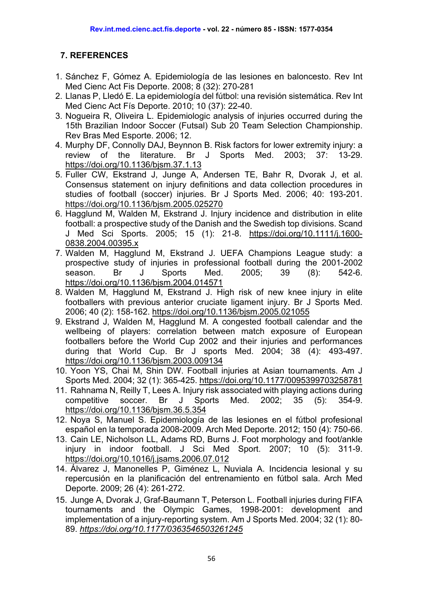## **7. REFERENCES**

- 1. Sánchez F, Gómez A. Epidemiología de las lesiones en baloncesto. Rev Int Med Cienc Act Fis Deporte. 2008; 8 (32): 270-281
- 2. Llanas P, Lledó E. La epidemiología del fútbol: una revisión sistemática. Rev Int Med Cienc Act Fís Deporte. 2010; 10 (37): 22-40.
- 3. Nogueira R, Oliveira L. Epidemiologic analysis of injuries occurred during the 15th Brazilian Indoor Soccer (Futsal) Sub 20 Team Selection Championship. Rev Bras Med Esporte. 2006; 12.
- 4. Murphy DF, Connolly DAJ, Beynnon B. Risk factors for lower extremity injury: a review of the literature. Br J Sports Med. 2003; 37: 13-29. <https://doi.org/10.1136/bjsm.37.1.13>
- 5. Fuller CW, Ekstrand J, Junge A, Andersen TE, Bahr R, Dvorak J, et al. Consensus statement on injury definitions and data collection procedures in studies of football (soccer) injuries. Br J Sports Med. 2006; 40: 193-201. <https://doi.org/10.1136/bjsm.2005.025270>
- 6. Hagglund M, Walden M, Ekstrand J. Injury incidence and distribution in elite football: a prospective study of the Danish and the Swedish top divisions. Scand J Med Sci Sports. 2005; 15 (1): 21-8. [https://doi.org/10.1111/j.1600-](https://doi.org/10.1111/j.1600-0838.2004.00395.x) [0838.2004.00395.x](https://doi.org/10.1111/j.1600-0838.2004.00395.x)
- 7. Walden M, Hagglund M, Ekstrand J. UEFA Champions League study: a prospective study of injuries in professional football during the 2001-2002 season. Br J Sports Med. 2005; 39 (8): 542-6. <https://doi.org/10.1136/bjsm.2004.014571>
- 8. Walden M, Hagglund M, Ekstrand J. High risk of new knee injury in elite footballers with previous anterior cruciate ligament injury. Br J Sports Med. 2006; 40 (2): 158-162.<https://doi.org/10.1136/bjsm.2005.021055>
- 9. Ekstrand J, Walden M, Hagglund M. A congested football calendar and the wellbeing of players: correlation between match exposure of European footballers before the World Cup 2002 and their injuries and performances during that World Cup. Br J sports Med. 2004; 38 (4): 493-497. <https://doi.org/10.1136/bjsm.2003.009134>
- 10. Yoon YS, Chai M, Shin DW. Football injuries at Asian tournaments. Am J Sports Med. 2004; 32 (1): 365-425.<https://doi.org/10.1177/0095399703258781>
- 11. Rahnama N, Reilly T, Lees A. Injury risk associated with playing actions during competitive soccer. Br J Sports Med. 2002; 35 (5): 354-9. <https://doi.org/10.1136/bjsm.36.5.354>
- 12. Noya S, Manuel S. Epidemiología de las lesiones en el fútbol profesional español en la temporada 2008-2009. Arch Med Deporte. 2012; 150 (4): 750-66.
- 13. Cain LE, Nicholson LL, Adams RD, Burns J. Foot morphology and foot/ankle injury in indoor football. J Sci Med Sport. 2007; 10 (5): 311-9. <https://doi.org/10.1016/j.jsams.2006.07.012>
- 14. Álvarez J, Manonelles P, Giménez L, Nuviala A. Incidencia lesional y su repercusión en la planificación del entrenamiento en fútbol sala. Arch Med Deporte. 2009; 26 (4): 261-272.
- 15. Junge A, Dvorak J, Graf-Baumann T, Peterson L. Football injuries during FIFA tournaments and the Olympic Games, 1998-2001: development and implementation of a injury-reporting system. Am J Sports Med. 2004; 32 (1): 80- 89. *<https://doi.org/10.1177/0363546503261245>*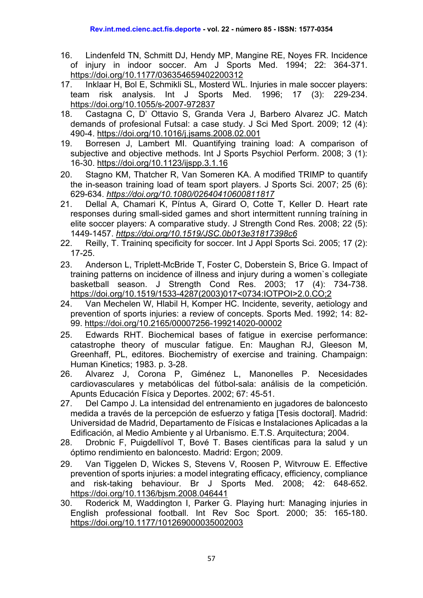- 16. [Lindenfeld TN, Schmitt DJ, Hendy MP, Mangine RE, Noyes FR.](http://www.ncbi.nlm.nih.gov/pubmed/8037278?ordinalpos=24&itool=EntrezSystem2.PEntrez.Pubmed.Pubmed_ResultsPanel.Pubmed_RVDocSum) Incidence of injury in indoor soccer. Am J Sports Med. 1994; 22: 364-371. <https://doi.org/10.1177/036354659402200312>
- 17. Inklaar H, Bol E, Schmikli SL, Mosterd WL. Injuries in male soccer players: team risk analysis. Int J Sports Med. 1996; 17 (3): 229-234. <https://doi.org/10.1055/s-2007-972837>
- 18. Castagna C, D' Ottavio S, Granda Vera J, Barbero Alvarez JC. Match demands of profesional Futsal: a case study. J Sci Med Sport. 2009; 12 (4): 490-4.<https://doi.org/10.1016/j.jsams.2008.02.001>
- 19. Borresen J, Lambert MI. Quantifying training load: A comparison of subjective and objective methods. Int J Sports Psychiol Perform. 2008; 3 (1): 16-30.<https://doi.org/10.1123/ijspp.3.1.16>
- 20. Stagno KM, Thatcher R, Van Someren KA. A modified TRIMP to quantify the in-season training load of team sport players. J Sports Sci. 2007; 25 (6): 629-634. *<https://doi.org/10.1080/02640410600811817>*
- 21. Dellal A, Chamari K, Píntus A, Girard O, Cotte T, Keller D. Heart rate responses during small-sided games and short intermittent runníng traíning in elite soccer players: A comparative study. J Strength Cond Res. 2008; 22 (5): 1449-1457. *<https://doi.org/10.1519/JSC.0b013e31817398c6>*
- 22. Reilly, T. Traininq specificity for soccer. Int J Appl Sports Sci. 2005; 17 (2): 17-25.
- 23. Anderson L, Triplett-McBride T, Foster C, Doberstein S, Brice G. Impact of training patterns on incidence of illness and injury during a women`s collegiate basketball season. J Strength Cond Res. 2003; 17 (4): 734-738. [https://doi.org/10.1519/1533-4287\(2003\)017<0734:IOTPOI>2.0.CO;2](https://doi.org/10.1519/1533-4287(2003)017%3C0734:IOTPOI%3E2.0.CO;2)
- 24. Van Mechelen W, Hlabil H, Komper HC. Incidente, severity, aetiology and prevention of sports injuries: a review of concepts. Sports Med. 1992; 14: 82- 99.<https://doi.org/10.2165/00007256-199214020-00002>
- 25. Edwards RHT. Biochemical bases of fatigue in exercise performance: catastrophe theory of muscular fatigue. En: Maughan RJ, Gleeson M, Greenhaff, PL, editores. Biochemistry of exercise and training. Champaign: Human Kinetics; 1983. p. 3-28.
- 26. Alvarez J, Corona P, Giménez L, Manonelles P. Necesidades cardiovasculares y metabólicas del fútbol-sala: análisis de la competición. Apunts Educación Física y Deportes. 2002; 67: 45-51.
- 27. Del Campo J. La intensidad del entrenamiento en jugadores de baloncesto medida a través de la percepción de esfuerzo y fatiga [Tesis doctoral]. Madrid: Universidad de Madrid, Departamento de Físicas e Instalaciones Aplicadas a la Edificación, al Medio Ambiente y al Urbanismo. E.T.S. Arquitectura; 2004.
- 28. Drobnic F, Puigdellívol T, Bové T. Bases científicas para la salud y un óptimo rendimiento en baloncesto. Madrid: Ergon; 2009.
- 29. Van Tiggelen D, Wickes S, Stevens V, Roosen P, Witvrouw E. Effective prevention of sports injuries: a model integrating efficacy, efficiency, compliance and risk-taking behaviour. Br J Sports Med. 2008; 42: 648-652. <https://doi.org/10.1136/bjsm.2008.046441>
- 30. Roderick M, Waddington I, Parker G. Playing hurt: Managing injuries in English professional football. Int Rev Soc Sport. 2000; 35: 165-180. <https://doi.org/10.1177/101269000035002003>